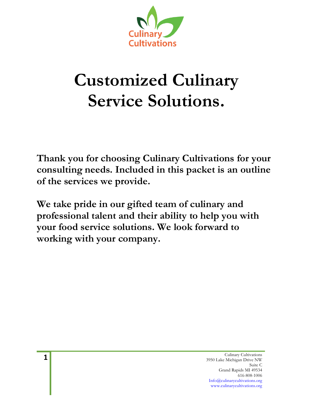

# **Customized Culinary Service Solutions.**

**Thank you for choosing Culinary Cultivations for your consulting needs. Included in this packet is an outline of the services we provide.**

**We take pride in our gifted team of culinary and professional talent and their ability to help you with your food service solutions. We look forward to working with your company.**

> Culinary Cultivations 3950 Lake Michigan Drive NW Suite C Grand Rapids MI 49534 616-808-1006 Info@culinarycultivations.org www.culinarycultivations.org

**1**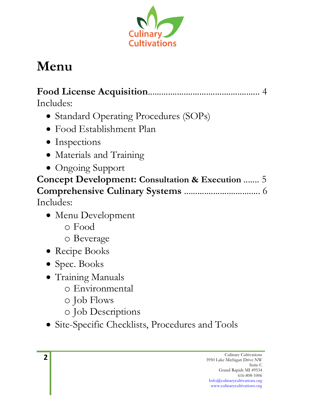

## **Menu**

**Food License Acquisition**.................................................. 4 Includes:

- Standard Operating Procedures (SOPs)
- Food Establishment Plan
- Inspections
- Materials and Training
- Ongoing Support

**Concept Development: Consultation & Execution** ....... 5 **Comprehensive Culinary Systems** .................................. 6 Includes:

- Menu Development
	- o Food
	- o Beverage
- Recipe Books
- Spec. Books
- Training Manuals
	- o Environmental
	- o Job Flows
	- o Job Descriptions
- Site-Specific Checklists, Procedures and Tools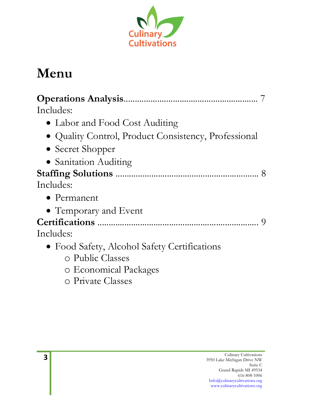

## **Menu**

| Includes:                                            |  |
|------------------------------------------------------|--|
| • Labor and Food Cost Auditing                       |  |
| • Quality Control, Product Consistency, Professional |  |
| • Secret Shopper                                     |  |
| • Sanitation Auditing                                |  |
|                                                      |  |
| Includes:                                            |  |
| $\bullet$ Permanent                                  |  |
| • Temporary and Event                                |  |
|                                                      |  |
| Includes:                                            |  |
| • Food Safety, Alcohol Safety Certifications         |  |
| o Public Classes                                     |  |
| o Economical Packages                                |  |

o Private Classes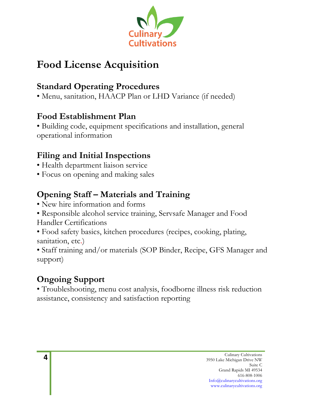

## **Food License Acquisition**

#### **Standard Operating Procedures**

• Menu, sanitation, HAACP Plan or LHD Variance (if needed)

#### **Food Establishment Plan**

• Building code, equipment specifications and installation, general operational information

#### **Filing and Initial Inspections**

- Health department liaison service
- Focus on opening and making sales

#### **Opening Staff – Materials and Training**

- New hire information and forms
- Responsible alcohol service training, Servsafe Manager and Food Handler Certifications
- Food safety basics, kitchen procedures (recipes, cooking, plating, sanitation, etc.)

• Staff training and/or materials (SOP Binder, Recipe, GFS Manager and support)

#### **Ongoing Support**

• Troubleshooting, menu cost analysis, foodborne illness risk reduction assistance, consistency and satisfaction reporting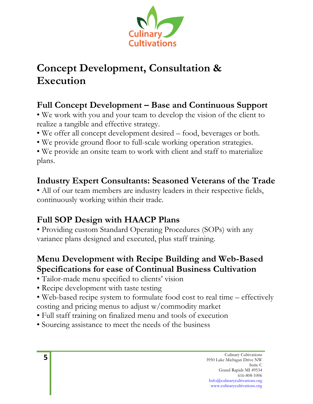

## **Concept Development, Consultation & Execution**

#### **Full Concept Development – Base and Continuous Support**

- We work with you and your team to develop the vision of the client to realize a tangible and effective strategy.
- We offer all concept development desired food, beverages or both.
- We provide ground floor to full-scale working operation strategies.

• We provide an onsite team to work with client and staff to materialize plans.

#### **Industry Expert Consultants: Seasoned Veterans of the Trade**

• All of our team members are industry leaders in their respective fields, continuously working within their trade.

#### **Full SOP Design with HAACP Plans**

• Providing custom Standard Operating Procedures (SOPs) with any variance plans designed and executed, plus staff training.

#### **Menu Development with Recipe Building and Web-Based Specifications for ease of Continual Business Cultivation**

- Tailor-made menu specified to clients' vision
- Recipe development with taste testing
- Web-based recipe system to formulate food cost to real time effectively costing and pricing menus to adjust w/commodity market
- Full staff training on finalized menu and tools of execution
- Sourcing assistance to meet the needs of the business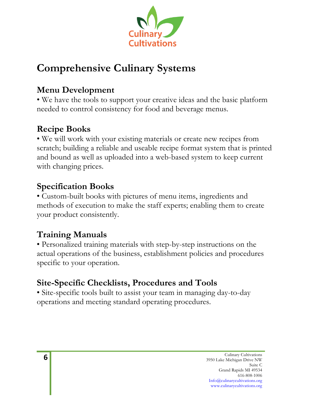

## **Comprehensive Culinary Systems**

#### **Menu Development**

• We have the tools to support your creative ideas and the basic platform needed to control consistency for food and beverage menus.

#### **Recipe Books**

• We will work with your existing materials or create new recipes from scratch; building a reliable and useable recipe format system that is printed and bound as well as uploaded into a web-based system to keep current with changing prices.

#### **Specification Books**

• Custom-built books with pictures of menu items, ingredients and methods of execution to make the staff experts; enabling them to create your product consistently.

#### **Training Manuals**

• Personalized training materials with step-by-step instructions on the actual operations of the business, establishment policies and procedures specific to your operation.

#### **Site-Specific Checklists, Procedures and Tools**

• Site-specific tools built to assist your team in managing day-to-day operations and meeting standard operating procedures.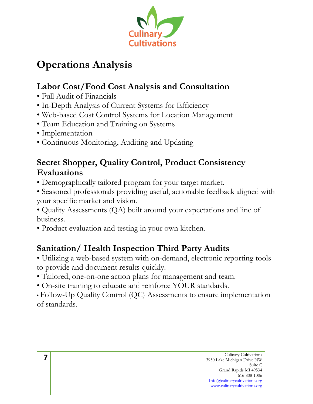

## **Operations Analysis**

#### **Labor Cost/Food Cost Analysis and Consultation**

- Full Audit of Financials
- In-Depth Analysis of Current Systems for Efficiency
- Web-based Cost Control Systems for Location Management
- Team Education and Training on Systems
- Implementation
- Continuous Monitoring, Auditing and Updating

#### **Secret Shopper, Quality Control, Product Consistency Evaluations**

- Demographically tailored program for your target market.
- Seasoned professionals providing useful, actionable feedback aligned with your specific market and vision.

• Quality Assessments (QA) built around your expectations and line of business.

• Product evaluation and testing in your own kitchen.

#### **Sanitation/ Health Inspection Third Party Audits**

- Utilizing a web-based system with on-demand, electronic reporting tools to provide and document results quickly.
- Tailored, one-on-one action plans for management and team.
- On-site training to educate and reinforce YOUR standards.
- Follow-Up Quality Control (QC) Assessments to ensure implementation of standards.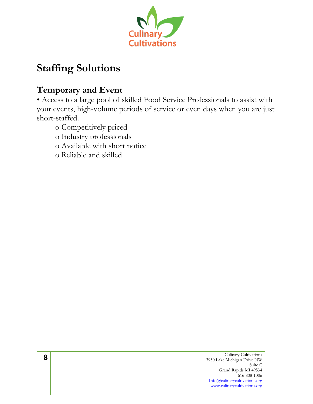

## **Staffing Solutions**

#### **Temporary and Event**

• Access to a large pool of skilled Food Service Professionals to assist with your events, high-volume periods of service or even days when you are just short-staffed.

- o Competitively priced
- o Industry professionals
- o Available with short notice
- o Reliable and skilled